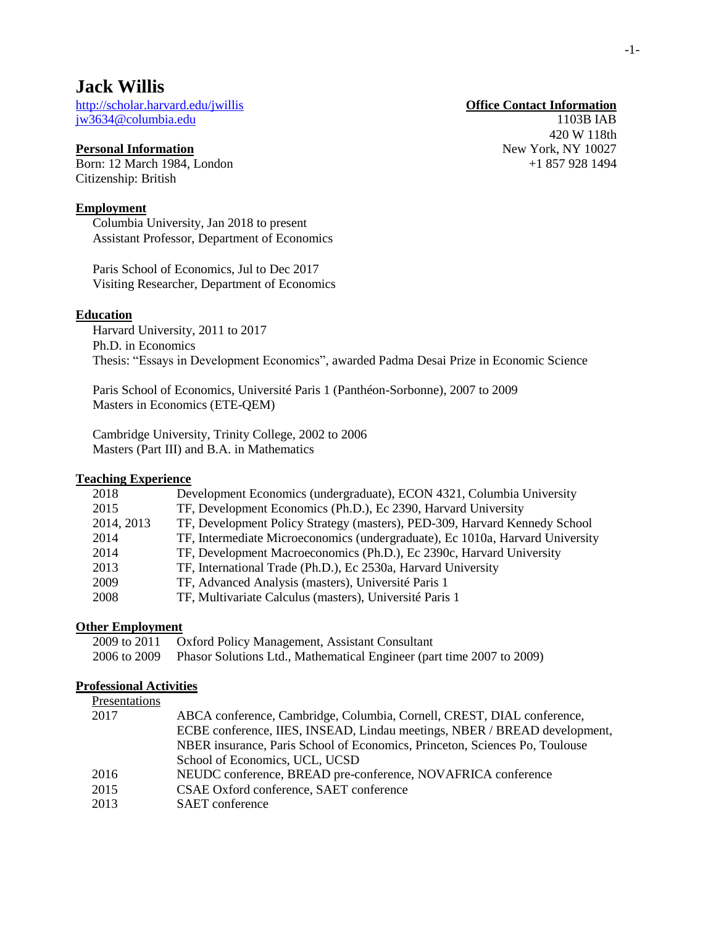# **Jack Willis**

<http://scholar.harvard.edu/jwillis> **Office Contact Information** [jw3634@columbia.edu](file:///C:/Users/Jack/Dropbox/Personal%20Documents/1.%20Admin/CV/jw3634@columbia.edu) 1103B IAB

# **Personal Information** New York, NY 10027

Born: 12 March 1984, London +1 857 928 1494 Citizenship: British

### **Employment**

Columbia University, Jan 2018 to present Assistant Professor, Department of Economics

Paris School of Economics, Jul to Dec 2017 Visiting Researcher, Department of Economics

#### **Education**

Harvard University, 2011 to 2017 Ph.D. in Economics Thesis: "Essays in Development Economics", awarded Padma Desai Prize in Economic Science

Paris School of Economics, Université Paris 1 (Panthéon-Sorbonne), 2007 to 2009 Masters in Economics (ETE-QEM)

Cambridge University, Trinity College, 2002 to 2006 Masters (Part III) and B.A. in Mathematics

#### **Teaching Experience**

| Development Economics (undergraduate), ECON 4321, Columbia University         |
|-------------------------------------------------------------------------------|
| TF, Development Economics (Ph.D.), Ec 2390, Harvard University                |
| TF, Development Policy Strategy (masters), PED-309, Harvard Kennedy School    |
| TF, Intermediate Microeconomics (undergraduate), Ec 1010a, Harvard University |
| TF, Development Macroeconomics (Ph.D.), Ec 2390c, Harvard University          |
| TF, International Trade (Ph.D.), Ec 2530a, Harvard University                 |
| TF, Advanced Analysis (masters), Université Paris 1                           |
| TF, Multivariate Calculus (masters), Université Paris 1                       |
|                                                                               |

# **Other Employment**

| 2009 to 2011 Oxford Policy Management, Assistant Consultant                        |
|------------------------------------------------------------------------------------|
| 2006 to 2009 Phasor Solutions Ltd., Mathematical Engineer (part time 2007 to 2009) |

# **Professional Activities**

| Presentations |                                                                             |  |
|---------------|-----------------------------------------------------------------------------|--|
| 2017          | ABCA conference, Cambridge, Columbia, Cornell, CREST, DIAL conference,      |  |
|               | ECBE conference, IIES, INSEAD, Lindau meetings, NBER / BREAD development,   |  |
|               | NBER insurance, Paris School of Economics, Princeton, Sciences Po, Toulouse |  |
|               | School of Economics, UCL, UCSD                                              |  |
| 2016          | NEUDC conference, BREAD pre-conference, NOVAFRICA conference                |  |
| 2015          | CSAE Oxford conference, SAET conference                                     |  |
| 2013          | <b>SAET</b> conference                                                      |  |
|               |                                                                             |  |